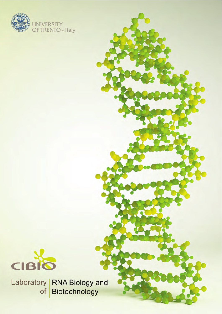



Laboratory | RNA Biology and Biotechnology of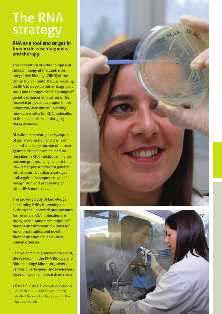## The RNA strategy

## **RNA as a tool and target in human disease diagnosis and therapy.**

The Laboratory of RNA Biology and Biotechnology at the Centre for Integrative Biology (CIBIO) of the University of Trento, Italy, is focusing on RNA to develop better diagnostic tools and therapeutics for a range of genetic diseases and cancers. The research projects developed in the laboratory also aim at unveiling new active roles for RNA molecules in the mechanisms underlying these diseases.

RNA impacts nearly every aspect of gene expression and it is now clear that a large portion of human genetic diseases are caused by mistakes in RNA metabolism. It has become progressively evident that RNA is not just a carrier of genetic information, but also a catalyst and a guide for sequence-specific recognition and processing of other RNA molecules.

The growing body of knowledge concerning RNAs is opening up exciting and unprecedented avenues for research: RNA molecules are today, at the same time, targets of therapeutic intervention, tools for functional studies and novel therapeutic molecules to treat human diseases 1.

Led by Dr Michela Alessandra Denti, the research in the RNA Biology and Biotechnology laboratory covers various diverse areas, and researchers focus on two main research interests.

1 Denti MA, Viero G, Provenzani A, Quattrone A, Macchi P (2013) mRNA fate: life and death of the mRNA in the cytoplasm. RNA Biol. 10:360-366.



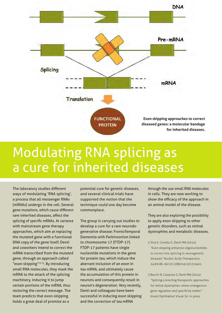

## Modulating RNA splicing as a cure for inherited diseases

The laboratory studies different ways of modulating 'RNA splicing', a process that all messenger RNAs (mRNAs) undergo in the cell. Several gene mutations, which cause different rare inherited diseases, affect the splicing of specific mRNAs. At variance with mainstream gene therapy approaches, which aim at replacing the mutated gene with a functional DNA copy of the gene itself, Denti and coworkers intend to correct the mRNA transcribed from the mutated gene, through an approach called "exon-skipping"<sup>(2, 3)</sup>. By introducing small RNA molecules, they mask the mRNA to the attack of the splicing machinery, inducing it to jump certain portions of the mRNA, thus restoring the correct message. The team predicts that exon-skipping holds a great deal of promise as a

potential cure for genetic diseases, and several clinical trials have supported the notion that the technique could one day become commonplace.

The group is carrying out studies to develop a cure for a rare neurodegenerative disease: FrontoTemporal Dementia with Parkinsonism linked to chromosome 17 (FTDP-17). FTDP-17 patients have single nucleotide mutations in the gene for protein *tau*, which induce the aberrant inclusion of an exon in *tau* mRNA, and ultimately cause the accumulation of this protein in neurons and consequently result in neuron's degeneration. Very recently, Denti and colleagues have been successful in inducing exon skipping and the correction of *tau* mRNA

through the use small RNA molecules in cells. They are now working to show the efficacy of the approach in an animal model of the disease.

They are also exploring the possibility to apply exon skipping to other genetic disorders, such as retinal dystrophies and metabolic diseases.

- 2 Siva K, Covello G, Denti MA (2014) "Exon-skipping antisense oligonucleotides to correct mis-splicing in neurogenetic diseases" Nucleic Acids Therapeutics. 24:69-86. doi:10.1089/nat.2013.0461.
- 3 Bacchi N, Casarosa S, Denti MA (2014) "Splicing-correcting therapeutic approaches for retinal dystrophies: where endogenous gene regulation and specificity matter." Invest Ophthalmol Visual Sci. in press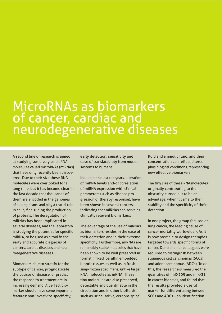## MicroRNAs as biomarkers of cancer, cardiac and neurodegenerative diseases

A second line of research is aimed at studying some very small RNA molecules called microRNAs (miRNAs) that have only recently been discovered. Due to their size these RNA molecules were overlooked for a long time, but it has become clear in the last decade that thousands of them are encoded in the genomes of all organisms, and play a crucial role in cells, fine-tuning the production of proteins. The deregulation of miRNAs has been implicated in several diseases, and the laboratory is studying the potential for specific miRNA, to be used as a tool in the early and accurate diagnosis of cancers, cardiac diseases and neurodegenerative diseases.

Biomarkers able to stratify for the subtype of cancer, prognosticate the course of disease, or predict the response to treatment are in increasing demand. A perfect biomarker should have some important features: non-invasivity, specificity,

early detection, sensitivity and ease of translatability from model systems to humans.

Indeed in the last ten years, alteration of miRNA levels and/or correlation of miRNA expression with clinical parameters (such as disease progression or therapy response), have been shown in several cancers, indicating that miRNAs can serve as clinically relevant biomarkers.

The advantage of the use of miRNAs as biomarkers resides in the ease of their detection and in their extreme specificity. Furthermore, miRNAs are remarkably stable molecules that have been shown to be well preserved in formalin fixed, paraffin embedded bioptic tissues as well as in fresh snap-frozen specimens, unlike larger RNA molecules as mRNA. These tiny molecules are also preserved, detectable and quantifiable in the circulation and in other biofluids, such as urine, saliva, cerebro-spinal

fluid and amniotic fluid, and their concentration can reflect altered physiological conditions, representing new effective biomarkers.

The tiny size of these RNA molecules, originally contributing to their obscurity, turned out to be an advantage, when it came to their stability and the specificity of their detection.

In one project, the group focused on lung cancer, the leading cause of cancer mortality worldwide 4. As it is now possible to design therapies targeted towards specific forms of cancer, Denti and her colleagues were required to distinguish between squamous cell carcinomas (SCCs) and adenocarcinomas (ADCs). To do this, the researchers measured the quantities of miR-205 and miR-21 in cancer biopsies, and found that the results provided a useful marker for differentiating between SCCs and ADCs – an identification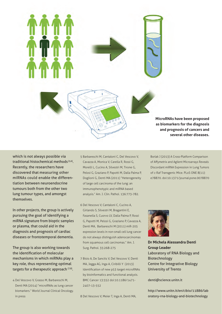

which is not always possible via traditional histochemical methods (5,6). Recently, the researchers have discovered that measuring other miRNAs could enable the differentiation between neuroendocrine tumours both from the other two lung tumour types, and amongst themselves.

In other projects, the group is actively pursuing the goal of identifying a miRNA signature from bioptic samples or plasma, that could aid in the diagnosis and prognosis of cardiac diseases or frontotemporal dementia.

The group is also working towards the identification of molecular mechanisms in which miRNAs play a key role, thus representing optimal targets for a therapeutic approach (7,8).

4 Del Vescovo V, Grasso M, Barbareschi M, Denti MA (2014) "microRNAs as lung cancer biomarkers." World Journal Clinical Oncology. in press

- 5 Barbareschi M, Cantaloni C, Del Vescovo V, Cavazza A, Monica V, Carella R, Rossi G, Morelli L, Cucino A, Silvestri M, Tirone G, Pelosi G, Graziano P, Papotti M, Dalla Palma P, Doglioni G, Denti MA (2011) "Heterogeneity of large cell carcinoma of the lung: an immunophenotypic and miRNA based analysis." Am. J. Clin. Pathol. 136:773-782.
- 6 Del Vescovo V, Cantaloni C, Cucino A, Girlando S, Silvestri M, Bragantini E, Fasanella S, Cuorvo LV, Dalla Palma P, Rossi G, Papotti M, Pelosi G, Graziano P, Cavazza A, Denti MA, Barbareschi M (2011) miR-205 expression levels in non-small cell lung cancer do not always distinguish adenocarcinomas from squamous cell carcinomas." Am. J. Surg. Pathol. 35:268-275
- 7 Bisio A, De Sanctis V, Del Vescovo V, Denti MA, Jegga AG, Inga A, Ciribilli Y (2013) Identification of new p53 target microRNAs by bioinformatics and functional analysis. BMC Cancer 13:552 doi:10.1186/1471- 2407-13-552

8 Del Vescovo V, Meier T, Inga A, Denti MA,

Borlak J (2013) A Cross-Platform Comparison of Affymetrix and Agilent Microarrays Reveals Discordant miRNA Expression in Lung Tumors of c-Raf Transgenic Mice. PLoS ONE 8(11): e78870. doi:10.1371/journal.pone.0078870



**Dr Michela Alessandra Denti Group Leader** Laboratory of RNA Biology and Biotechnology Centre for Integrative Biology University of Trento

denti@science.unitn.it

http://www.unitn.it/en/cibio/11886/lab oratory-rna-biology-and-biotechnology